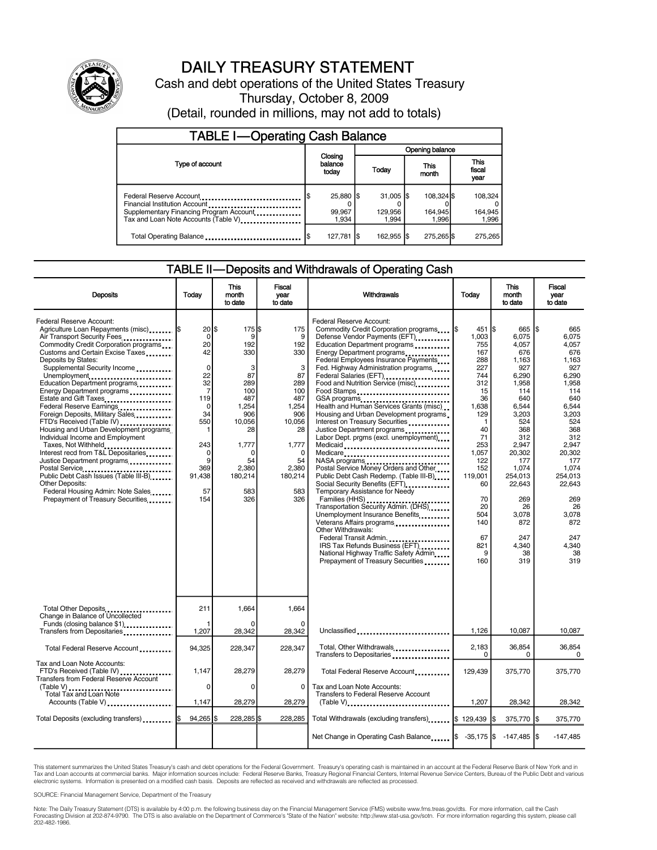

# DAILY TREASURY STATEMENT

Cash and debt operations of the United States Treasury Thursday, October 8, 2009 (Detail, rounded in millions, may not add to totals)

| TABLE I—Operating Cash Balance                                                                                                              |  |                              |  |                                            |  |                                |  |                               |  |
|---------------------------------------------------------------------------------------------------------------------------------------------|--|------------------------------|--|--------------------------------------------|--|--------------------------------|--|-------------------------------|--|
|                                                                                                                                             |  |                              |  | Opening balance                            |  |                                |  |                               |  |
| Type of account                                                                                                                             |  | Closing<br>balance<br>today  |  | Today                                      |  | This<br>month                  |  | <b>This</b><br>fiscal<br>year |  |
| Federal Reserve Account<br>Financial Institution Account<br>Supplementary Financing Program Account<br>Tax and Loan Note Accounts (Table V) |  | 25,880 \$<br>99,967<br>1.934 |  | $31,005$ $\frac{1}{3}$<br>129,956<br>1.994 |  | 108,324 \$<br>164,945<br>1.996 |  | 108.324<br>164,945<br>1.996   |  |
| Total Operating Balance                                                                                                                     |  | 127,781                      |  | 162,955 \$                                 |  | 275,265 \$                     |  | 275,265                       |  |

#### TABLE II—Deposits and Withdrawals of Operating Cash

| <b>Deposits</b>                                                                                                                                                                                                                                                                                                                                                                                                                                                                                                                                                                                                                                                                                                                                                            | Todav                                                                                                                                                             | <b>This</b><br>month<br>to date                                                                                                                      | <b>Fiscal</b><br>vear<br>to date                                                                                                                    | Withdrawals                                                                                                                                                                                                                                                                                                                                                                                                                                                                                                                                                                                                                                                                                                                                                                                                                                                                                                                                                                                                                                     | Today                                                                                                                                                                                                              |                                                                                                                                                                                                                                       | <b>Fiscal</b><br>vear<br>to date                                                                                                                                                                                                             |  |
|----------------------------------------------------------------------------------------------------------------------------------------------------------------------------------------------------------------------------------------------------------------------------------------------------------------------------------------------------------------------------------------------------------------------------------------------------------------------------------------------------------------------------------------------------------------------------------------------------------------------------------------------------------------------------------------------------------------------------------------------------------------------------|-------------------------------------------------------------------------------------------------------------------------------------------------------------------|------------------------------------------------------------------------------------------------------------------------------------------------------|-----------------------------------------------------------------------------------------------------------------------------------------------------|-------------------------------------------------------------------------------------------------------------------------------------------------------------------------------------------------------------------------------------------------------------------------------------------------------------------------------------------------------------------------------------------------------------------------------------------------------------------------------------------------------------------------------------------------------------------------------------------------------------------------------------------------------------------------------------------------------------------------------------------------------------------------------------------------------------------------------------------------------------------------------------------------------------------------------------------------------------------------------------------------------------------------------------------------|--------------------------------------------------------------------------------------------------------------------------------------------------------------------------------------------------------------------|---------------------------------------------------------------------------------------------------------------------------------------------------------------------------------------------------------------------------------------|----------------------------------------------------------------------------------------------------------------------------------------------------------------------------------------------------------------------------------------------|--|
| Federal Reserve Account:<br>Agriculture Loan Repayments (misc)<br>Air Transport Security Fees<br>Commodity Credit Corporation programs<br>Customs and Certain Excise Taxes<br>Deposits by States:<br>Supplemental Security Income<br>Unemployment<br>Education Department programs<br>Energy Department programs<br>Estate and Gift Taxes<br>Federal Reserve Earnings<br>Foreign Deposits, Military Sales<br>FTD's Received (Table IV)<br>Housing and Urban Development programs.<br>Individual Income and Employment<br>Taxes, Not Withheld<br>Interest recd from T&L Depositaries<br>Justice Department programs<br>Postal Service<br>Public Debt Cash Issues (Table III-B)<br>Other Deposits:<br>Federal Housing Admin: Note Sales<br>Prepayment of Treasury Securities | $20$ \$<br>$\mathbf 0$<br>20<br>42<br>$\mathbf 0$<br>22<br>32<br>$\overline{7}$<br>119<br>0<br>34<br>550<br>243<br>$\mathbf 0$<br>9<br>369<br>91.438<br>57<br>154 | 175S<br>9<br>192<br>330<br>3<br>87<br>289<br>100<br>487<br>1.254<br>906<br>10,056<br>28<br>1,777<br>$\Omega$<br>54<br>2,380<br>180,214<br>583<br>326 | 175<br>9<br>192<br>330<br>3<br>87<br>289<br>100<br>487<br>1.254<br>906<br>10,056<br>28<br>1,777<br>$\Omega$<br>54<br>2.380<br>180,214<br>583<br>326 | Federal Reserve Account:<br>Commodity Credit Corporation programs S<br>Defense Vendor Payments (EFT)<br>Education Department programs<br>Energy Department programs<br>Federal Employees Insurance Payments<br>Fed. Highway Administration programs<br>Federal Salaries (EFT)<br><br>Food and Nutrition Service (misc)<br>Food Stamps<br>GSA programs<br>Health and Human Services Grants (misc)<br>Housing and Urban Development programs<br>Interest on Treasury Securities<br>Justice Department programs<br>Labor Dept. prgms (excl. unemployment)<br>Medicaid<br>Medicare<br>NASA programs<br>Postal Service Money Orders and Other<br>Public Debt Cash Redemp. (Table III-B)<br>Social Security Benefits (EFT)<br>Temporary Assistance for Needy<br>Families (HHS)<br>Transportation Security Admin. (DHS)<br>Unemployment Insurance Benefits<br>Veterans Affairs programs<br>Other Withdrawals:<br>Federal Transit Admin<br>IRS Tax Refunds Business (EFT)<br>National Highway Traffic Safety Admin<br>Prepayment of Treasury Securities | 451 S<br>1,003<br>755<br>167<br>288<br>227<br>744<br>312<br>15<br>36<br>1.638<br>129<br>$\mathbf{1}$<br>40<br>71<br>253<br>1,057<br>122<br>152<br>119,001<br>60<br>70<br>20<br>504<br>140<br>67<br>821<br>9<br>160 | 665<br>6,075<br>4.057<br>676<br>1,163<br>927<br>6,290<br>1,958<br>114<br>640<br>6.544<br>3.203<br>524<br>368<br>312<br>2,947<br>20,302<br>177<br>1,074<br>254,013<br>22,643<br>269<br>26<br>3,078<br>872<br>247<br>4.340<br>38<br>319 | l\$<br>665<br>6,075<br>4.057<br>676<br>1,163<br>927<br>6,290<br>1,958<br>114<br>640<br>6.544<br>3.203<br>524<br>368<br>312<br>2,947<br>20.302<br>177<br>1,074<br>254.013<br>22,643<br>269<br>26<br>3,078<br>872<br>247<br>4.340<br>38<br>319 |  |
| Total Other Deposits<br>Change in Balance of Uncollected<br>Funds (closing balance \$1)<br>Transfers from Depositaries                                                                                                                                                                                                                                                                                                                                                                                                                                                                                                                                                                                                                                                     | 211<br>1,207                                                                                                                                                      | 1,664<br>28,342                                                                                                                                      | 1,664<br>$\Omega$<br>28,342                                                                                                                         | Unclassified                                                                                                                                                                                                                                                                                                                                                                                                                                                                                                                                                                                                                                                                                                                                                                                                                                                                                                                                                                                                                                    | 1,126                                                                                                                                                                                                              | 10,087                                                                                                                                                                                                                                | 10,087                                                                                                                                                                                                                                       |  |
| Total Federal Reserve Account                                                                                                                                                                                                                                                                                                                                                                                                                                                                                                                                                                                                                                                                                                                                              | 94,325                                                                                                                                                            | 228,347                                                                                                                                              | 228,347                                                                                                                                             | Total, Other Withdrawals<br>Transfers to Depositaries                                                                                                                                                                                                                                                                                                                                                                                                                                                                                                                                                                                                                                                                                                                                                                                                                                                                                                                                                                                           | 2,183<br>0                                                                                                                                                                                                         | 36,854<br>$\Omega$                                                                                                                                                                                                                    | 36,854<br>$\mathbf 0$                                                                                                                                                                                                                        |  |
| Tax and Loan Note Accounts:<br>FTD's Received (Table IV)<br>Transfers from Federal Reserve Account                                                                                                                                                                                                                                                                                                                                                                                                                                                                                                                                                                                                                                                                         | 1,147<br>$\Omega$                                                                                                                                                 | 28,279<br>$\Omega$                                                                                                                                   | 28,279<br>0                                                                                                                                         | Total Federal Reserve Account<br>Tax and Loan Note Accounts:                                                                                                                                                                                                                                                                                                                                                                                                                                                                                                                                                                                                                                                                                                                                                                                                                                                                                                                                                                                    | 129,439                                                                                                                                                                                                            | 375,770                                                                                                                                                                                                                               | 375,770                                                                                                                                                                                                                                      |  |
| (Table V)<br>Total Tax and Loan Note<br>Accounts (Table V)                                                                                                                                                                                                                                                                                                                                                                                                                                                                                                                                                                                                                                                                                                                 | 1.147                                                                                                                                                             | 28,279                                                                                                                                               | 28.279                                                                                                                                              | Transfers to Federal Reserve Account<br>$(Table V)$                                                                                                                                                                                                                                                                                                                                                                                                                                                                                                                                                                                                                                                                                                                                                                                                                                                                                                                                                                                             | 1.207                                                                                                                                                                                                              | 28.342                                                                                                                                                                                                                                | 28.342                                                                                                                                                                                                                                       |  |
| Total Deposits (excluding transfers)                                                                                                                                                                                                                                                                                                                                                                                                                                                                                                                                                                                                                                                                                                                                       | $94,265$ \$<br>I\$                                                                                                                                                | 228,285                                                                                                                                              | 228,285                                                                                                                                             | Total Withdrawals (excluding transfers) S 129,439                                                                                                                                                                                                                                                                                                                                                                                                                                                                                                                                                                                                                                                                                                                                                                                                                                                                                                                                                                                               |                                                                                                                                                                                                                    | 375,770 \$                                                                                                                                                                                                                            | 375,770                                                                                                                                                                                                                                      |  |
|                                                                                                                                                                                                                                                                                                                                                                                                                                                                                                                                                                                                                                                                                                                                                                            |                                                                                                                                                                   |                                                                                                                                                      |                                                                                                                                                     | Net Change in Operating Cash Balance \$ -35,175 \$ -147,485 \$                                                                                                                                                                                                                                                                                                                                                                                                                                                                                                                                                                                                                                                                                                                                                                                                                                                                                                                                                                                  |                                                                                                                                                                                                                    |                                                                                                                                                                                                                                       | $-147,485$                                                                                                                                                                                                                                   |  |

This statement summarizes the United States Treasury's cash and debt operations for the Federal Government. Treasury's operating cash is maintained in an account at the Federal Reserve Bank of New York and in<br>Tax and Loan electronic systems. Information is presented on a modified cash basis. Deposits are reflected as received and withdrawals are reflected as processed.

SOURCE: Financial Management Service, Department of the Treasury

Note: The Daily Treasury Statement (DTS) is available by 4:00 p.m. the following business day on the Financial Management Service (FMS) website www.fms.treas.gov/dts. For more information, call the Cash<br>Forecasting Divisio